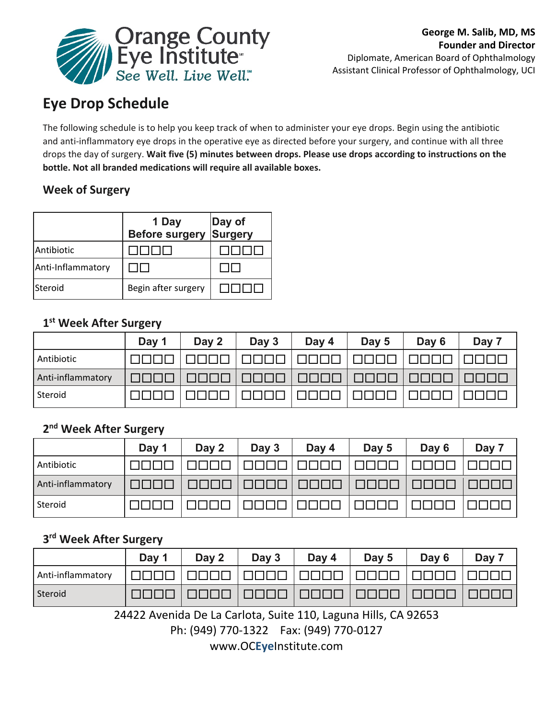

# **Eye Drop Schedule**

The following schedule is to help you keep track of when to administer your eye drops. Begin using the antibiotic and anti-inflammatory eye drops in the operative eye as directed before your surgery, and continue with all three drops the day of surgery. **Wait five (5) minutes between drops. Please use drops according to instructions on the bottle. Not all branded medications will require all available boxes.** 

# **Week of Surgery**

|                   | 1 Day<br><b>Before surgery</b> | Day of<br>Surgery |
|-------------------|--------------------------------|-------------------|
| Antibiotic        |                                |                   |
| Anti-Inflammatory |                                |                   |
| <b>Steroid</b>    | Begin after surgery            |                   |

### **1st Week After Surgery**

|                   | Day 1 | Day 2 | Day 3                              | Day 4 | Day 5 | Day 6 | Day 7 |
|-------------------|-------|-------|------------------------------------|-------|-------|-------|-------|
| Antibiotic        |       |       |                                    |       |       |       |       |
| Anti-inflammatory |       |       | $\mathbf{H}$<br>Ш.<br>$\mathbf{H}$ |       |       |       |       |
| Steroid           |       |       |                                    |       |       |       |       |

## **2nd Week After Surgery**

|                   | Day 1                                     | Day 2 | Day 3  | Day 4 | Day 5 | Day 6 | Day 7 |
|-------------------|-------------------------------------------|-------|--------|-------|-------|-------|-------|
| Antibiotic        |                                           |       |        |       |       |       |       |
| Anti-inflammatory | $\mathbf{H}$<br>$\mathbf{H}$ $\mathbf{H}$ |       | 41 H J |       |       |       |       |
| Steroid           |                                           |       |        |       |       |       |       |

# **3rd Week After Surgery**

|                   | Day 1 | Day 2              | Day 3    | Day 4     | Day 5          | Day 6    | Day 7      |
|-------------------|-------|--------------------|----------|-----------|----------------|----------|------------|
| Anti-inflammatory |       | - 11 - 11 - 11 - 1 | 1000 L   | TITI TITI |                | 70 O O O | 11 11 11 1 |
| Steroid           |       |                    | TITITITI | THE HELL  | $\blacksquare$ |          |            |

24422 Avenida De La Carlota, Suite 110, Laguna Hills, CA 92653

Ph: (949) 770-1322 Fax: (949) 770-0127

www.OC**Eye**Institute.com